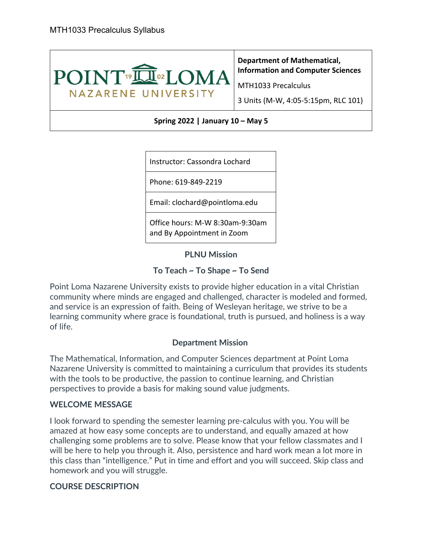

**Department of Mathematical, Information and Computer Sciences** 

MTH1033 Precalculus

3 Units (M-W, 4:05-5:15pm, RLC 101)

#### **Spring 2022 | January 10 – May 5**

Instructor: Cassondra Lochard

Phone: 619-849-2219

Email: clochard@pointloma.edu

Office hours: M-W 8:30am-9:30am and By Appointment in Zoom

**PLNU Mission**

## **To Teach ~ To Shape ~ To Send**

Point Loma Nazarene University exists to provide higher education in a vital Christian community where minds are engaged and challenged, character is modeled and formed, and service is an expression of faith. Being of Wesleyan heritage, we strive to be a learning community where grace is foundational, truth is pursued, and holiness is a way of life.

# **Department Mission**

The Mathematical, Information, and Computer Sciences department at Point Loma Nazarene University is committed to maintaining a curriculum that provides its students with the tools to be productive, the passion to continue learning, and Christian perspectives to provide a basis for making sound value judgments.

#### **WELCOME MESSAGE**

I look forward to spending the semester learning pre-calculus with you. You will be amazed at how easy some concepts are to understand, and equally amazed at how challenging some problems are to solve. Please know that your fellow classmates and I will be here to help you through it. Also, persistence and hard work mean a lot more in this class than "intelligence." Put in time and effort and you will succeed. Skip class and homework and you will struggle.

# **COURSE DESCRIPTION**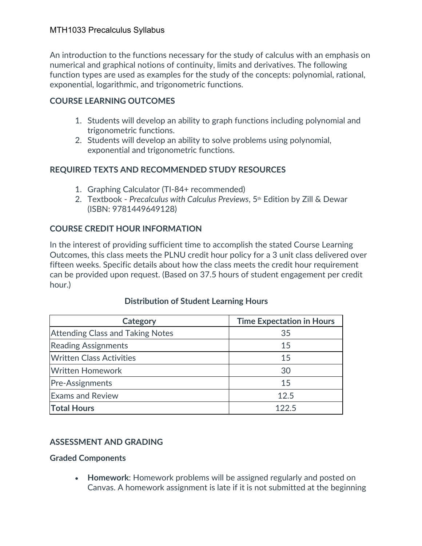An introduction to the functions necessary for the study of calculus with an emphasis on numerical and graphical notions of continuity, limits and derivatives. The following function types are used as examples for the study of the concepts: polynomial, rational, exponential, logarithmic, and trigonometric functions.

# **COURSE LEARNING OUTCOMES**

- 1. Students will develop an ability to graph functions including polynomial and trigonometric functions.
- 2. Students will develop an ability to solve problems using polynomial, exponential and trigonometric functions.

# **REQUIRED TEXTS AND RECOMMENDED STUDY RESOURCES**

- 1. Graphing Calculator (TI-84+ recommended)
- 2. Textbook Precalculus with Calculus Previews, 5<sup>th</sup> Edition by Zill & Dewar (ISBN: 9781449649128)

# **COURSE CREDIT HOUR INFORMATION**

In the interest of providing sufficient time to accomplish the stated Course Learning Outcomes, this class meets the PLNU credit hour policy for a 3 unit class delivered over fifteen weeks. Specific details about how the class meets the credit hour requirement can be provided upon request. (Based on 37.5 hours of student engagement per credit hour.)

| Category                                | <b>Time Expectation in Hours</b> |
|-----------------------------------------|----------------------------------|
| <b>Attending Class and Taking Notes</b> | 35                               |
| <b>Reading Assignments</b>              | 15                               |
| <b>Written Class Activities</b>         | 15                               |
| <b>Written Homework</b>                 | 30                               |
| Pre-Assignments                         | 15                               |
| <b>Exams and Review</b>                 | 12.5                             |
| <b>Total Hours</b>                      | 1225                             |

# **Distribution of Student Learning Hours**

# **ASSESSMENT AND GRADING**

#### **Graded Components**

• **Homework**: Homework problems will be assigned regularly and posted on Canvas. A homework assignment is late if it is not submitted at the beginning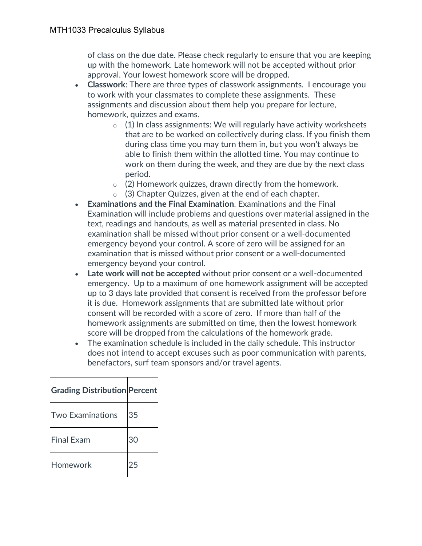of class on the due date. Please check regularly to ensure that you are keeping up with the homework. Late homework will not be accepted without prior approval. Your lowest homework score will be dropped.

- **Classwork**: There are three types of classwork assignments. I encourage you to work with your classmates to complete these assignments. These assignments and discussion about them help you prepare for lecture, homework, quizzes and exams.
	- $\circ$  (1) In class assignments: We will regularly have activity worksheets that are to be worked on collectively during class. If you finish them during class time you may turn them in, but you won't always be able to finish them within the allotted time. You may continue to work on them during the week, and they are due by the next class period.
	- $\circ$  (2) Homework quizzes, drawn directly from the homework.
	- o (3) Chapter Quizzes, given at the end of each chapter.
- **Examinations and the Final Examination**. Examinations and the Final Examination will include problems and questions over material assigned in the text, readings and handouts, as well as material presented in class. No examination shall be missed without prior consent or a well-documented emergency beyond your control. A score of zero will be assigned for an examination that is missed without prior consent or a well-documented emergency beyond your control.
- **Late work will not be accepted** without prior consent or a well-documented emergency. Up to a maximum of one homework assignment will be accepted up to 3 days late provided that consent is received from the professor before it is due. Homework assignments that are submitted late without prior consent will be recorded with a score of zero. If more than half of the homework assignments are submitted on time, then the lowest homework score will be dropped from the calculations of the homework grade.
- The examination schedule is included in the daily schedule. This instructor does not intend to accept excuses such as poor communication with parents, benefactors, surf team sponsors and/or travel agents.

| <b>Grading Distribution Percent</b> |    |
|-------------------------------------|----|
| <b>Two Examinations</b>             | 35 |
| <b>Final Exam</b>                   | 30 |
| Homework                            | 25 |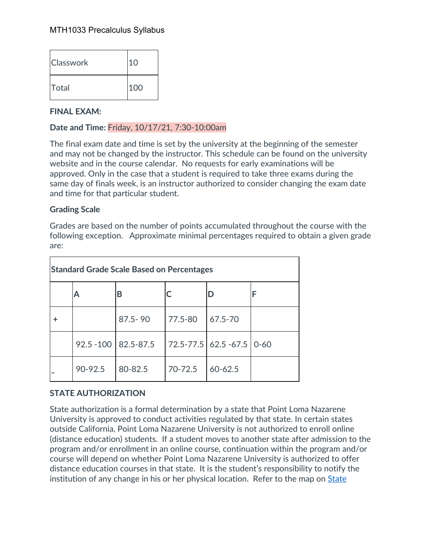| <b>Classwork</b> | 10  |
|------------------|-----|
| Total            | 100 |

#### **FINAL EXAM:**

## **Date and Time:** Friday, 10/17/21, 7:30-10:00am

The final exam date and time is set by the university at the beginning of the semester and may not be changed by the instructor. This schedule can be found on the university website and in the course calendar. No requests for early examinations will be approved. Only in the case that a student is required to take three exams during the same day of finals week, is an instructor authorized to consider changing the exam date and time for that particular student.

#### **Grading Scale**

Grades are based on the number of points accumulated throughout the course with the following exception. Approximate minimal percentages required to obtain a given grade are:

| <b>Standard Grade Scale Based on Percentages</b> |         |                        |         |                        |          |
|--------------------------------------------------|---------|------------------------|---------|------------------------|----------|
|                                                  | А       | В                      |         | D                      | F        |
|                                                  |         | $87.5 - 90$            | 77.5-80 | 67.5-70                |          |
|                                                  |         | $92.5 - 100$ 82.5-87.5 |         | 72.5-77.5   62.5 -67.5 | $0 - 60$ |
|                                                  | 90-92.5 | 80-82.5                | 70-72.5 | $60 - 62.5$            |          |

# **STATE AUTHORIZATION**

State authorization is a formal determination by a state that Point Loma Nazarene University is approved to conduct activities regulated by that state. In certain states outside California, Point Loma Nazarene University is not authorized to enroll online (distance education) students. If a student moves to another state after admission to the program and/or enrollment in an online course, continuation within the program and/or course will depend on whether Point Loma Nazarene University is authorized to offer distance education courses in that state. It is the student's responsibility to notify the institution of any change in his or her physical location. Refer to the map on State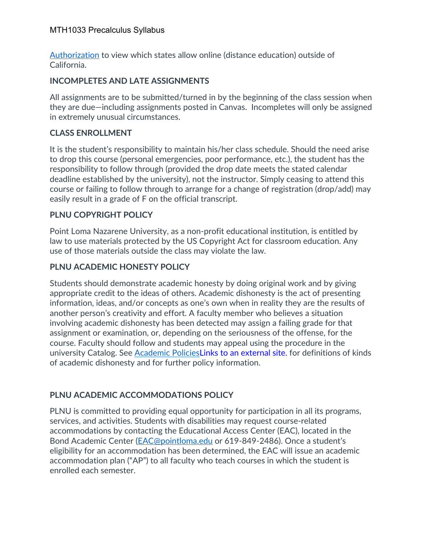Authorization to view which states allow online (distance education) outside of California.

# **INCOMPLETES AND LATE ASSIGNMENTS**

All assignments are to be submitted/turned in by the beginning of the class session when they are due—including assignments posted in Canvas. Incompletes will only be assigned in extremely unusual circumstances.

# **CLASS ENROLLMENT**

It is the student's responsibility to maintain his/her class schedule. Should the need arise to drop this course (personal emergencies, poor performance, etc.), the student has the responsibility to follow through (provided the drop date meets the stated calendar deadline established by the university), not the instructor. Simply ceasing to attend this course or failing to follow through to arrange for a change of registration (drop/add) may easily result in a grade of F on the official transcript.

# **PLNU COPYRIGHT POLICY**

Point Loma Nazarene University, as a non-profit educational institution, is entitled by law to use materials protected by the US Copyright Act for classroom education. Any use of those materials outside the class may violate the law.

# **PLNU ACADEMIC HONESTY POLICY**

Students should demonstrate academic honesty by doing original work and by giving appropriate credit to the ideas of others. Academic dishonesty is the act of presenting information, ideas, and/or concepts as one's own when in reality they are the results of another person's creativity and effort. A faculty member who believes a situation involving academic dishonesty has been detected may assign a failing grade for that assignment or examination, or, depending on the seriousness of the offense, for the course. Faculty should follow and students may appeal using the procedure in the university Catalog. See Academic PoliciesLinks to an external site. for definitions of kinds of academic dishonesty and for further policy information.

# **PLNU ACADEMIC ACCOMMODATIONS POLICY**

PLNU is committed to providing equal opportunity for participation in all its programs, services, and activities. Students with disabilities may request course-related accommodations by contacting the Educational Access Center (EAC), located in the Bond Academic Center (EAC@pointloma.edu or 619-849-2486). Once a student's eligibility for an accommodation has been determined, the EAC will issue an academic accommodation plan ("AP") to all faculty who teach courses in which the student is enrolled each semester.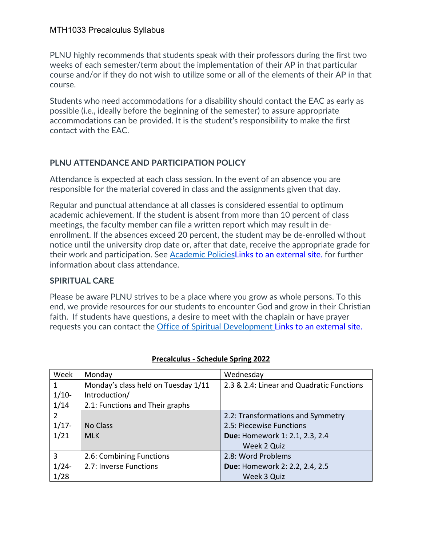PLNU highly recommends that students speak with their professors during the first two weeks of each semester/term about the implementation of their AP in that particular course and/or if they do not wish to utilize some or all of the elements of their AP in that course.

Students who need accommodations for a disability should contact the EAC as early as possible (i.e., ideally before the beginning of the semester) to assure appropriate accommodations can be provided. It is the student's responsibility to make the first contact with the EAC.

# **PLNU ATTENDANCE AND PARTICIPATION POLICY**

Attendance is expected at each class session. In the event of an absence you are responsible for the material covered in class and the assignments given that day.

Regular and punctual attendance at all classes is considered essential to optimum academic achievement. If the student is absent from more than 10 percent of class meetings, the faculty member can file a written report which may result in deenrollment. If the absences exceed 20 percent, the student may be de-enrolled without notice until the university drop date or, after that date, receive the appropriate grade for their work and participation. See Academic PoliciesLinks to an external site. for further information about class attendance.

# **SPIRITUAL CARE**

Please be aware PLNU strives to be a place where you grow as whole persons. To this end, we provide resources for our students to encounter God and grow in their Christian faith. If students have questions, a desire to meet with the chaplain or have prayer requests you can contact the Office of Spiritual Development Links to an external site.

| Week           | Monday                              | Wednesday                                 |
|----------------|-------------------------------------|-------------------------------------------|
| 1              | Monday's class held on Tuesday 1/11 | 2.3 & 2.4: Linear and Quadratic Functions |
| $1/10-$        | Introduction/                       |                                           |
| 1/14           | 2.1: Functions and Their graphs     |                                           |
| $\overline{2}$ |                                     | 2.2: Transformations and Symmetry         |
| $1/17 -$       | No Class                            | 2.5: Piecewise Functions                  |
| 1/21           | <b>MLK</b>                          | Due: Homework 1: 2.1, 2.3, 2.4            |
|                |                                     | Week 2 Quiz                               |
| 3              | 2.6: Combining Functions            | 2.8: Word Problems                        |
| $1/24-$        | 2.7: Inverse Functions              | Due: Homework 2: 2.2, 2.4, 2.5            |
| 1/28           |                                     | Week 3 Quiz                               |

#### **Precalculus - Schedule Spring 2022**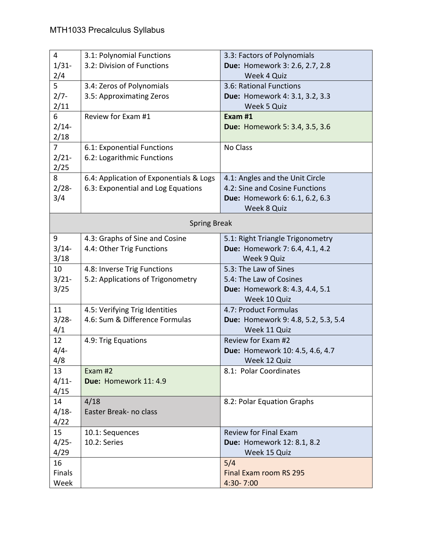| $\overline{4}$ | 3.1: Polynomial Functions               | 3.3: Factors of Polynomials         |
|----------------|-----------------------------------------|-------------------------------------|
| $1/31-$        | 3.2: Division of Functions              | Due: Homework 3: 2.6, 2.7, 2.8      |
| 2/4            |                                         | Week 4 Quiz                         |
| 5              | 3.4: Zeros of Polynomials               | 3.6: Rational Functions             |
| $2/7 -$        | 3.5: Approximating Zeros                | Due: Homework 4: 3.1, 3.2, 3.3      |
| 2/11           |                                         | Week 5 Quiz                         |
| 6              | Review for Exam #1                      | Exam #1                             |
| $2/14-$        |                                         | Due: Homework 5: 3.4, 3.5, 3.6      |
| 2/18           |                                         |                                     |
| $\overline{7}$ | 6.1: Exponential Functions              | No Class                            |
| $2/21 -$       | 6.2: Logarithmic Functions              |                                     |
| 2/25           |                                         |                                     |
| 8              | 6.4: Application of Exponentials & Logs | 4.1: Angles and the Unit Circle     |
| $2/28 -$       | 6.3: Exponential and Log Equations      | 4.2: Sine and Cosine Functions      |
| 3/4            |                                         | Due: Homework 6: 6.1, 6.2, 6.3      |
|                |                                         | Week 8 Quiz                         |
|                | <b>Spring Break</b>                     |                                     |
| 9              | 4.3: Graphs of Sine and Cosine          | 5.1: Right Triangle Trigonometry    |
| $3/14-$        | 4.4: Other Trig Functions               | Due: Homework 7: 6.4, 4.1, 4.2      |
| 3/18           |                                         | Week 9 Quiz                         |
| 10             | 4.8: Inverse Trig Functions             | 5.3: The Law of Sines               |
| $3/21 -$       | 5.2: Applications of Trigonometry       | 5.4: The Law of Cosines             |
| 3/25           |                                         | Due: Homework 8: 4.3, 4.4, 5.1      |
|                |                                         | Week 10 Quiz                        |
| 11             | 4.5: Verifying Trig Identities          | 4.7: Product Formulas               |
| $3/28 -$       | 4.6: Sum & Difference Formulas          | Due: Homework 9: 4.8, 5.2, 5.3, 5.4 |
| 4/1            |                                         | Week 11 Quiz                        |
| 12             | 4.9: Trig Equations                     | Review for Exam #2                  |
| $4/4 -$        |                                         | Due: Homework 10: 4.5, 4.6, 4.7     |
| 4/8            |                                         | Week 12 Quiz                        |
| 13             | Exam #2                                 | 8.1: Polar Coordinates              |
| $4/11$ -       | Due: Homework 11: 4.9                   |                                     |
| 4/15           |                                         |                                     |
| 14             | 4/18                                    | 8.2: Polar Equation Graphs          |
| $4/18-$        | Easter Break- no class                  |                                     |
| 4/22           |                                         |                                     |
| 15             | 10.1: Sequences                         | <b>Review for Final Exam</b>        |
| $4/25 -$       | 10.2: Series                            | Due: Homework 12: 8.1, 8.2          |
| 4/29           |                                         | Week 15 Quiz                        |
| 16             |                                         | 5/4                                 |
| Finals         |                                         | Final Exam room RS 295              |
| Week           |                                         | 4:30-7:00                           |